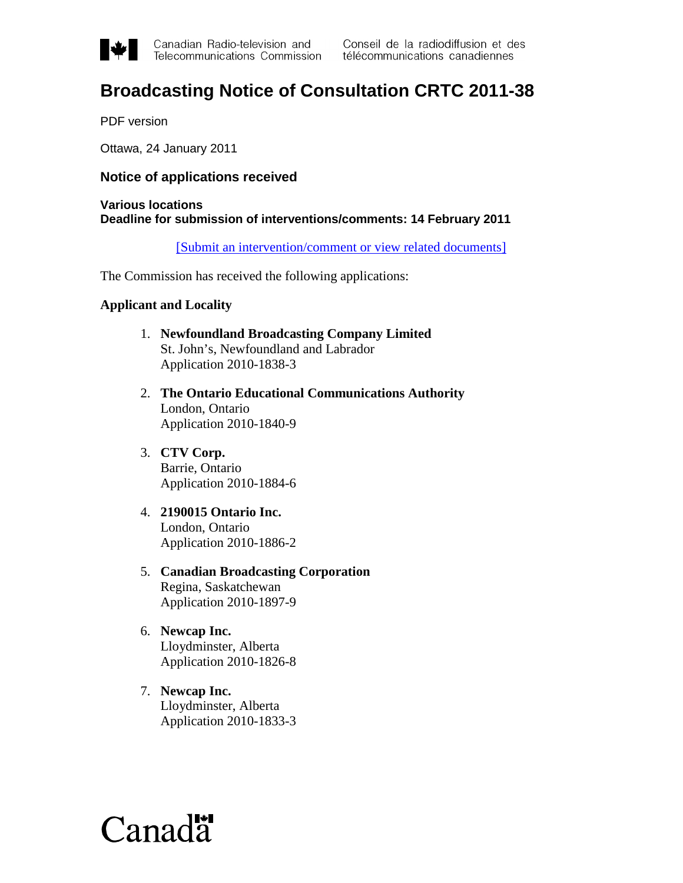

# **Broadcasting Notice of Consultation CRTC 2011-38**

PDF version

Ottawa, 24 January 2011

## **Notice of applications received**

## **Various locations Deadline for submission of interventions/comments: 14 February 2011**

[\[Submit an intervention/comment or view related documents\]](https://services.crtc.gc.ca/pub/instances-proceedings/Default.aspx?Status=Open&PubArea=Brd&PubType=All&PubSubType=All&lang=eng)

The Commission has received the following applications:

## **Applicant and Locality**

- 1. **Newfoundland Broadcasting Company Limited** St. John's, Newfoundland and Labrador Application 2010-1838-3
- 2. **The Ontario Educational Communications Authority** London, Ontario Application 2010-1840-9
- 3. **CTV Corp.** Barrie, Ontario Application 2010-1884-6
- 4. **2190015 Ontario Inc.** London, Ontario Application 2010-1886-2
- 5. **Canadian Broadcasting Corporation** Regina, Saskatchewan Application 2010-1897-9
- 6. **Newcap Inc.** Lloydminster, Alberta Application 2010-1826-8
- 7. **Newcap Inc.** Lloydminster, Alberta Application 2010-1833-3

# $Canad\ddot{a}$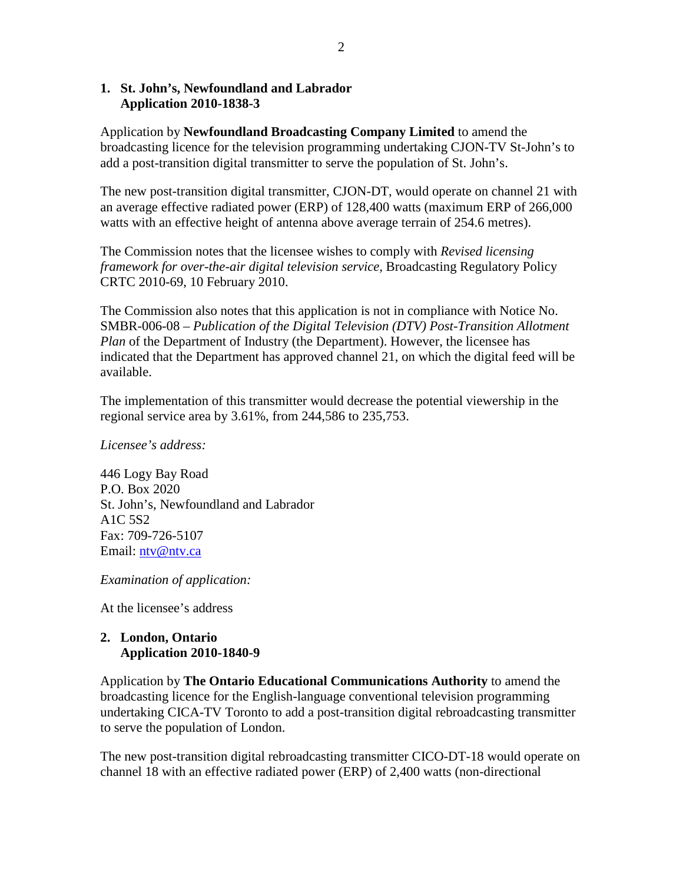## **1. St. John's, Newfoundland and Labrador Application 2010-1838-3**

Application by **Newfoundland Broadcasting Company Limited** to amend the broadcasting licence for the television programming undertaking CJON-TV St-John's to add a post-transition digital transmitter to serve the population of St. John's.

The new post-transition digital transmitter, CJON-DT, would operate on channel 21 with an average effective radiated power (ERP) of 128,400 watts (maximum ERP of 266,000 watts with an effective height of antenna above average terrain of 254.6 metres).

The Commission notes that the licensee wishes to comply with *Revised licensing framework for over-the-air digital television service,* Broadcasting Regulatory Policy CRTC 2010-69, 10 February 2010.

The Commission also notes that this application is not in compliance with Notice No. SMBR-006-08 – *Publication of the Digital Television (DTV) Post-Transition Allotment Plan* of the Department of Industry (the Department). However, the licensee has indicated that the Department has approved channel 21, on which the digital feed will be available.

The implementation of this transmitter would decrease the potential viewership in the regional service area by 3.61%, from 244,586 to 235,753.

*Licensee's address:*

446 Logy Bay Road P.O. Box 2020 St. John's, Newfoundland and Labrador A1C 5S2 Fax: 709-726-5107 Email: [ntv@ntv.ca](mailto:ntv@ntv.ca)

*Examination of application:*

At the licensee's address

## **2. London, Ontario Application 2010-1840-9**

Application by **The Ontario Educational Communications Authority** to amend the broadcasting licence for the English-language conventional television programming undertaking CICA-TV Toronto to add a post-transition digital rebroadcasting transmitter to serve the population of London.

The new post-transition digital rebroadcasting transmitter CICO-DT-18 would operate on channel 18 with an effective radiated power (ERP) of 2,400 watts (non-directional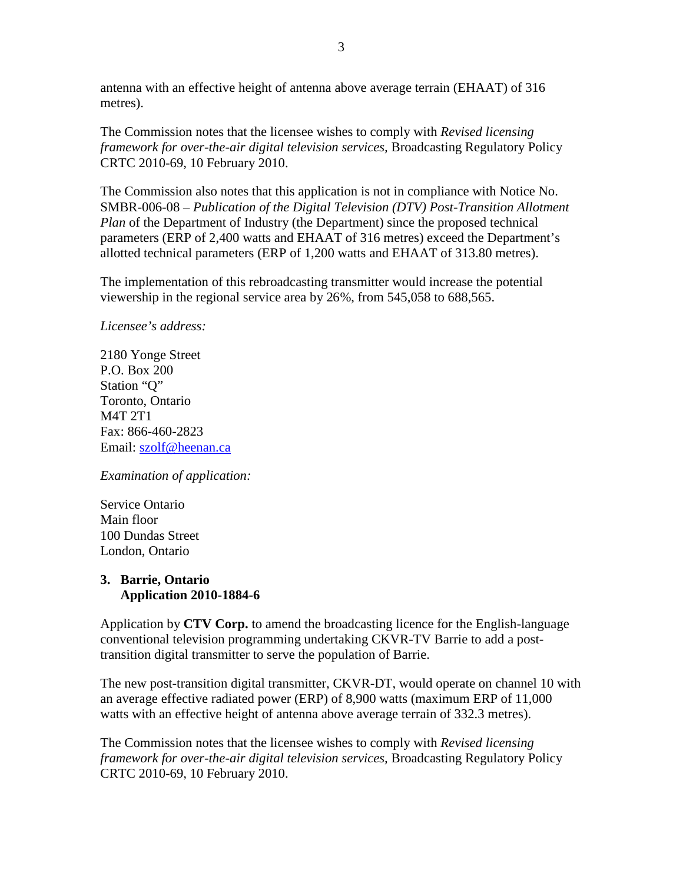antenna with an effective height of antenna above average terrain (EHAAT) of 316 metres).

The Commission notes that the licensee wishes to comply with *Revised licensing framework for over-the-air digital television services,* Broadcasting Regulatory Policy CRTC 2010-69, 10 February 2010.

The Commission also notes that this application is not in compliance with Notice No. SMBR-006-08 – *Publication of the Digital Television (DTV) Post-Transition Allotment Plan* of the Department of Industry (the Department) since the proposed technical parameters (ERP of 2,400 watts and EHAAT of 316 metres) exceed the Department's allotted technical parameters (ERP of 1,200 watts and EHAAT of 313.80 metres).

The implementation of this rebroadcasting transmitter would increase the potential viewership in the regional service area by 26%, from 545,058 to 688,565.

*Licensee's address:*

2180 Yonge Street P.O. Box 200 Station "O" Toronto, Ontario M4T 2T1 Fax: 866-460-2823 Email: [szolf@heenan.ca](mailto:szolf@heenan.ca)

*Examination of application:*

Service Ontario Main floor 100 Dundas Street London, Ontario

## **3. Barrie, Ontario Application 2010-1884-6**

Application by **CTV Corp.** to amend the broadcasting licence for the English-language conventional television programming undertaking CKVR-TV Barrie to add a posttransition digital transmitter to serve the population of Barrie.

The new post-transition digital transmitter, CKVR-DT, would operate on channel 10 with an average effective radiated power (ERP) of 8,900 watts (maximum ERP of 11,000 watts with an effective height of antenna above average terrain of 332.3 metres).

The Commission notes that the licensee wishes to comply with *Revised licensing framework for over-the-air digital television services,* Broadcasting Regulatory Policy CRTC 2010-69, 10 February 2010.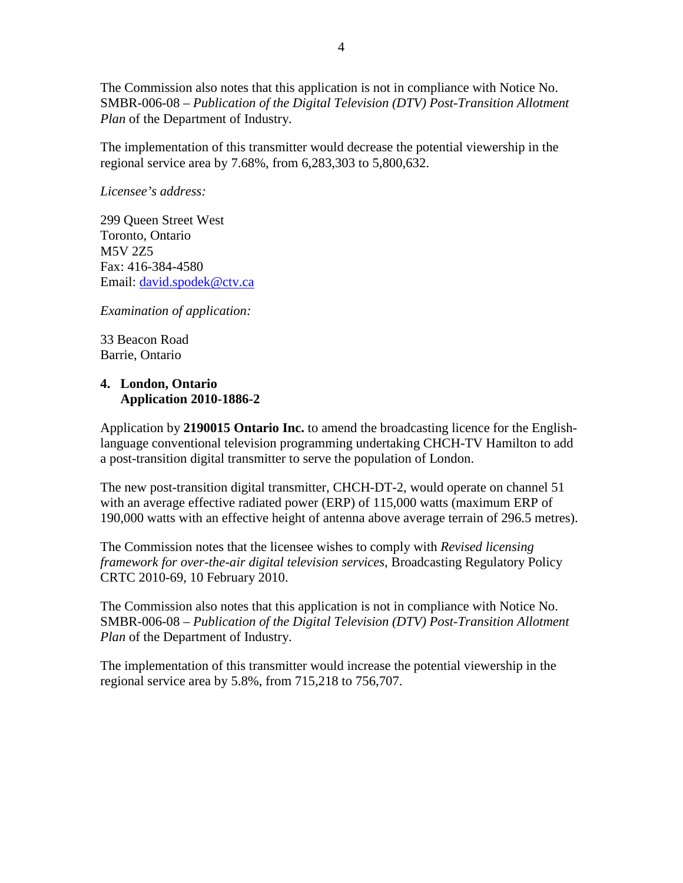The Commission also notes that this application is not in compliance with Notice No. SMBR-006-08 – *Publication of the Digital Television (DTV) Post-Transition Allotment Plan* of the Department of Industry.

The implementation of this transmitter would decrease the potential viewership in the regional service area by 7.68%, from 6,283,303 to 5,800,632.

*Licensee's address:*

299 Queen Street West Toronto, Ontario M5V 2Z5 Fax: 416-384-4580 Email: [david.spodek@ctv.ca](mailto:david.spodek@ctv.ca)

*Examination of application:*

33 Beacon Road Barrie, Ontario

## **4. London, Ontario Application 2010-1886-2**

Application by **2190015 Ontario Inc.** to amend the broadcasting licence for the Englishlanguage conventional television programming undertaking CHCH-TV Hamilton to add a post-transition digital transmitter to serve the population of London.

The new post-transition digital transmitter, CHCH-DT-2, would operate on channel 51 with an average effective radiated power (ERP) of 115,000 watts (maximum ERP of 190,000 watts with an effective height of antenna above average terrain of 296.5 metres).

The Commission notes that the licensee wishes to comply with *Revised licensing framework for over-the-air digital television services,* Broadcasting Regulatory Policy CRTC 2010-69, 10 February 2010.

The Commission also notes that this application is not in compliance with Notice No. SMBR-006-08 – *Publication of the Digital Television (DTV) Post-Transition Allotment Plan* of the Department of Industry.

The implementation of this transmitter would increase the potential viewership in the regional service area by 5.8%, from 715,218 to 756,707.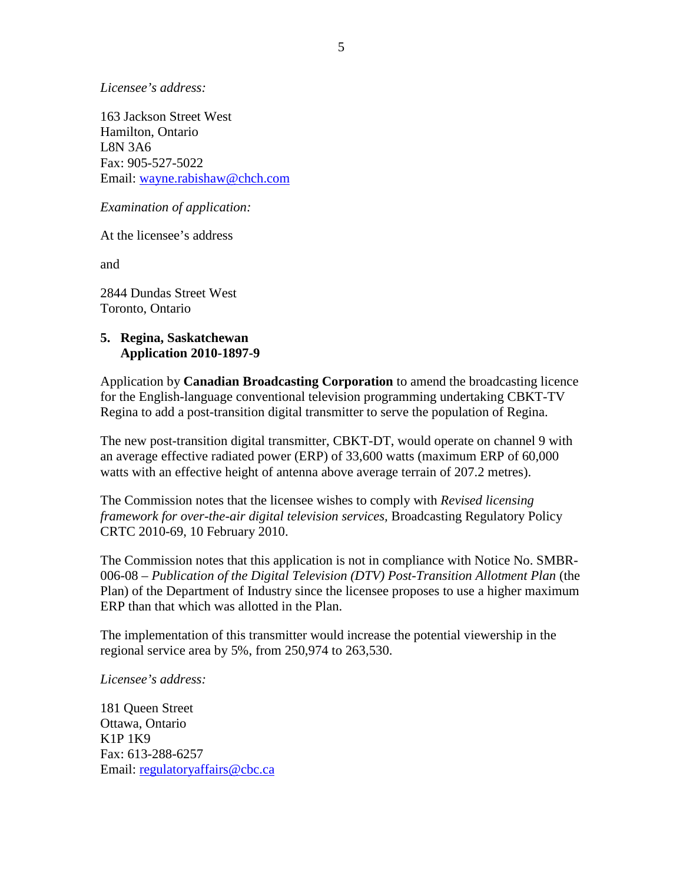*Licensee's address:*

163 Jackson Street West Hamilton, Ontario L8N 3A6 Fax: 905-527-5022 Email: [wayne.rabishaw@chch.com](mailto:wayne.rabishaw@chch.com)

*Examination of application:*

At the licensee's address

and

2844 Dundas Street West Toronto, Ontario

## **5. Regina, Saskatchewan Application 2010-1897-9**

Application by **Canadian Broadcasting Corporation** to amend the broadcasting licence for the English-language conventional television programming undertaking CBKT-TV Regina to add a post-transition digital transmitter to serve the population of Regina.

The new post-transition digital transmitter, CBKT-DT, would operate on channel 9 with an average effective radiated power (ERP) of 33,600 watts (maximum ERP of 60,000 watts with an effective height of antenna above average terrain of 207.2 metres).

The Commission notes that the licensee wishes to comply with *Revised licensing framework for over-the-air digital television services,* Broadcasting Regulatory Policy CRTC 2010-69, 10 February 2010.

The Commission notes that this application is not in compliance with Notice No. SMBR-006-08 – *Publication of the Digital Television (DTV) Post-Transition Allotment Plan* (the Plan) of the Department of Industry since the licensee proposes to use a higher maximum ERP than that which was allotted in the Plan.

The implementation of this transmitter would increase the potential viewership in the regional service area by 5%, from 250,974 to 263,530.

*Licensee's address:*

181 Queen Street Ottawa, Ontario K1P 1K9 Fax: 613-288-6257 Email: [regulatoryaffairs@cbc.ca](mailto:regulatoryaffairs@cbc.ca)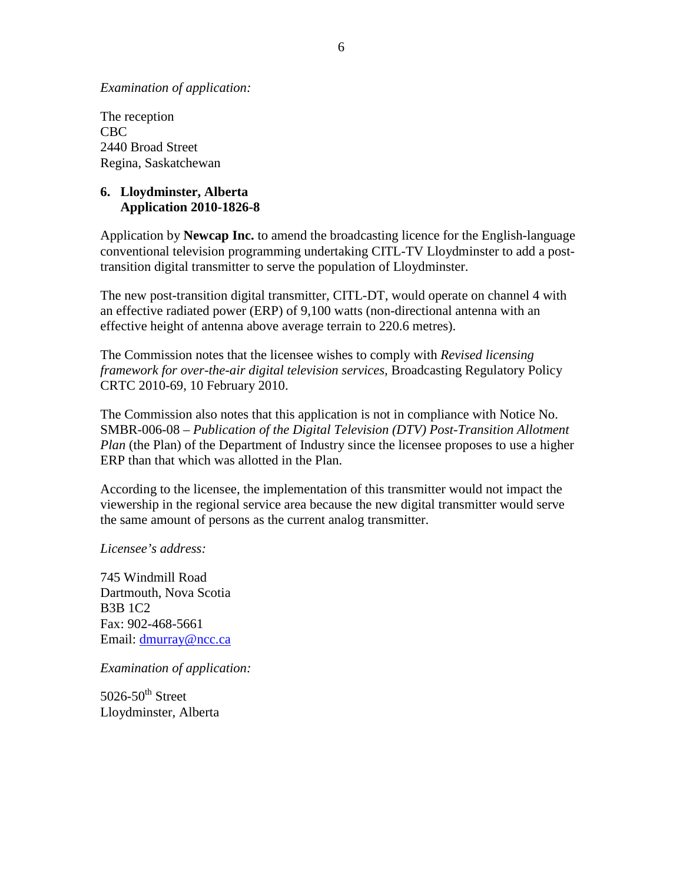*Examination of application:*

The reception CBC 2440 Broad Street Regina, Saskatchewan

## **6. Lloydminster, Alberta Application 2010-1826-8**

Application by **Newcap Inc.** to amend the broadcasting licence for the English-language conventional television programming undertaking CITL-TV Lloydminster to add a posttransition digital transmitter to serve the population of Lloydminster.

The new post-transition digital transmitter, CITL-DT, would operate on channel 4 with an effective radiated power (ERP) of 9,100 watts (non-directional antenna with an effective height of antenna above average terrain to 220.6 metres).

The Commission notes that the licensee wishes to comply with *Revised licensing framework for over-the-air digital television services,* Broadcasting Regulatory Policy CRTC 2010-69, 10 February 2010.

The Commission also notes that this application is not in compliance with Notice No. SMBR-006-08 – *Publication of the Digital Television (DTV) Post-Transition Allotment Plan* (the Plan) of the Department of Industry since the licensee proposes to use a higher ERP than that which was allotted in the Plan.

According to the licensee, the implementation of this transmitter would not impact the viewership in the regional service area because the new digital transmitter would serve the same amount of persons as the current analog transmitter.

*Licensee's address:*

745 Windmill Road Dartmouth, Nova Scotia B3B 1C2 Fax: 902-468-5661 Email: [dmurray@ncc.ca](mailto:dmurray@ncc.ca)

*Examination of application:*

 $5026-50$ <sup>th</sup> Street Lloydminster, Alberta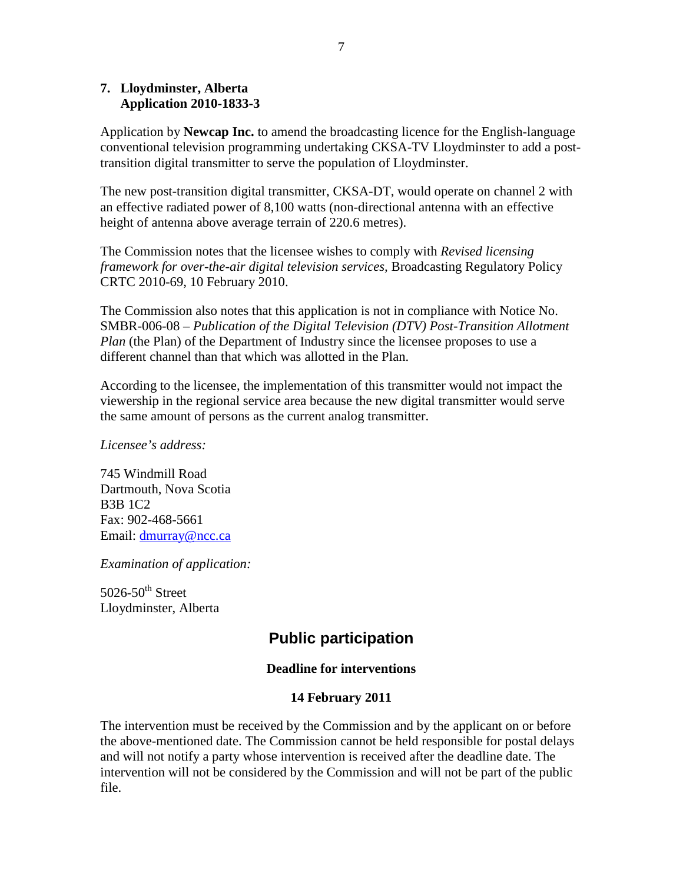## **7. Lloydminster, Alberta Application 2010-1833-3**

Application by **Newcap Inc.** to amend the broadcasting licence for the English-language conventional television programming undertaking CKSA-TV Lloydminster to add a posttransition digital transmitter to serve the population of Lloydminster.

The new post-transition digital transmitter, CKSA-DT, would operate on channel 2 with an effective radiated power of 8,100 watts (non-directional antenna with an effective height of antenna above average terrain of 220.6 metres).

The Commission notes that the licensee wishes to comply with *Revised licensing framework for over-the-air digital television services,* Broadcasting Regulatory Policy CRTC 2010-69, 10 February 2010.

The Commission also notes that this application is not in compliance with Notice No. SMBR-006-08 – *Publication of the Digital Television (DTV) Post-Transition Allotment Plan* (the Plan) of the Department of Industry since the licensee proposes to use a different channel than that which was allotted in the Plan.

According to the licensee, the implementation of this transmitter would not impact the viewership in the regional service area because the new digital transmitter would serve the same amount of persons as the current analog transmitter.

*Licensee's address:*

745 Windmill Road Dartmouth, Nova Scotia B3B 1C2 Fax: 902-468-5661 Email: [dmurray@ncc.ca](mailto:dmurray@ncc.ca)

*Examination of application:*

 $5026-50$ <sup>th</sup> Street Lloydminster, Alberta

# **Public participation**

## **Deadline for interventions**

## **14 February 2011**

The intervention must be received by the Commission and by the applicant on or before the above-mentioned date. The Commission cannot be held responsible for postal delays and will not notify a party whose intervention is received after the deadline date. The intervention will not be considered by the Commission and will not be part of the public file.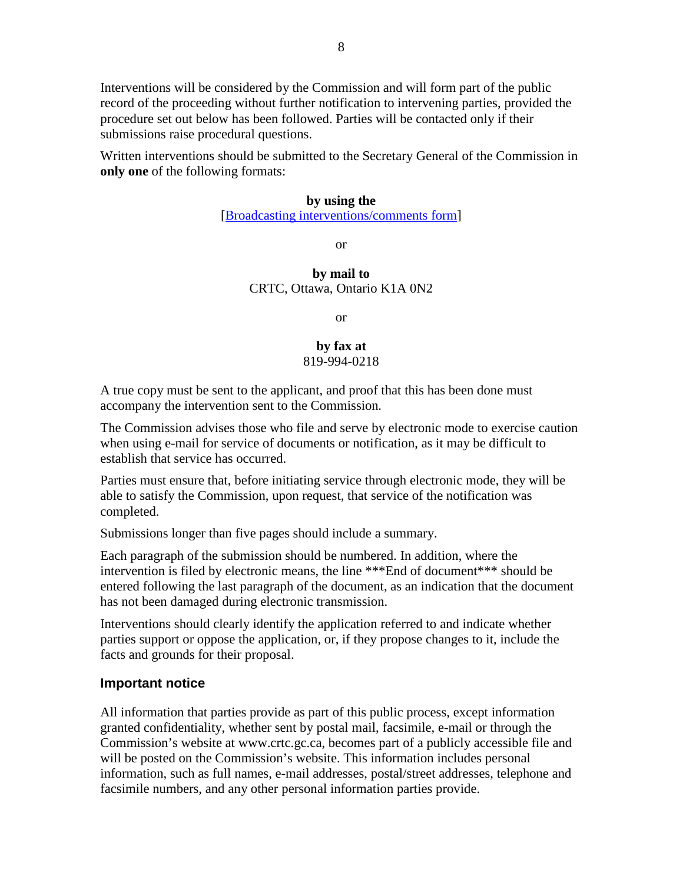Interventions will be considered by the Commission and will form part of the public record of the proceeding without further notification to intervening parties, provided the procedure set out below has been followed. Parties will be contacted only if their submissions raise procedural questions.

Written interventions should be submitted to the Secretary General of the Commission in **only one** of the following formats:

#### **by using the**

[\[Broadcasting interventions/comments form\]](https://services.crtc.gc.ca/pub/instances-proceedings/Default.aspx?Status=Open&PubArea=Brd&PubType=All&PubSubType=All&lang=eng)

or

## **by mail to** CRTC, Ottawa, Ontario K1A 0N2

or

### **by fax at** 819-994-0218

A true copy must be sent to the applicant, and proof that this has been done must accompany the intervention sent to the Commission.

The Commission advises those who file and serve by electronic mode to exercise caution when using e-mail for service of documents or notification, as it may be difficult to establish that service has occurred.

Parties must ensure that, before initiating service through electronic mode, they will be able to satisfy the Commission, upon request, that service of the notification was completed.

Submissions longer than five pages should include a summary.

Each paragraph of the submission should be numbered. In addition, where the intervention is filed by electronic means, the line \*\*\*End of document\*\*\* should be entered following the last paragraph of the document, as an indication that the document has not been damaged during electronic transmission.

Interventions should clearly identify the application referred to and indicate whether parties support or oppose the application, or, if they propose changes to it, include the facts and grounds for their proposal.

## **Important notice**

All information that parties provide as part of this public process, except information granted confidentiality, whether sent by postal mail, facsimile, e-mail or through the Commission's website at www.crtc.gc.ca, becomes part of a publicly accessible file and will be posted on the Commission's website. This information includes personal information, such as full names, e-mail addresses, postal/street addresses, telephone and facsimile numbers, and any other personal information parties provide.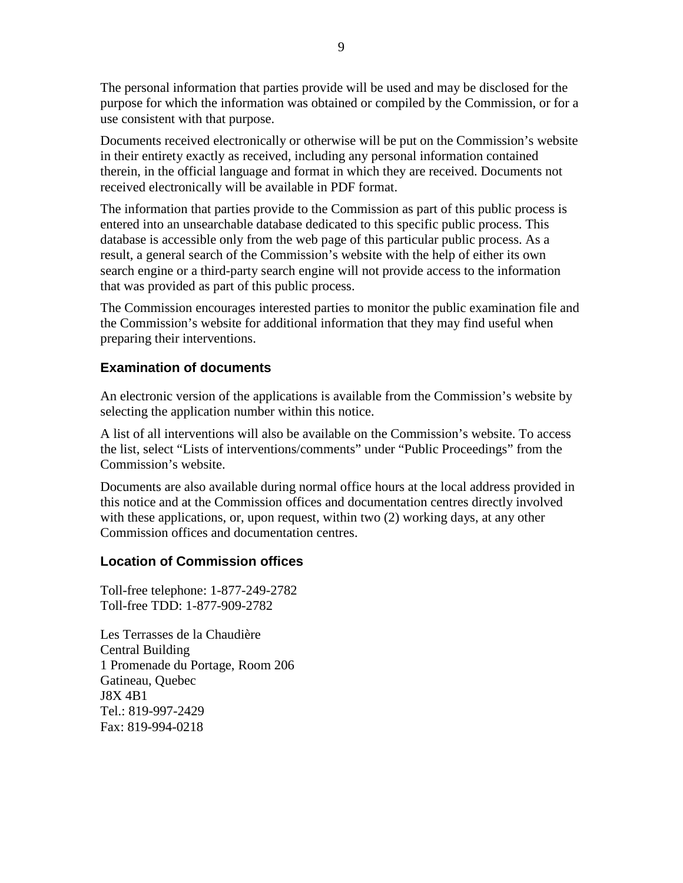The personal information that parties provide will be used and may be disclosed for the purpose for which the information was obtained or compiled by the Commission, or for a use consistent with that purpose.

Documents received electronically or otherwise will be put on the Commission's website in their entirety exactly as received, including any personal information contained therein, in the official language and format in which they are received. Documents not received electronically will be available in PDF format.

The information that parties provide to the Commission as part of this public process is entered into an unsearchable database dedicated to this specific public process. This database is accessible only from the web page of this particular public process. As a result, a general search of the Commission's website with the help of either its own search engine or a third-party search engine will not provide access to the information that was provided as part of this public process.

The Commission encourages interested parties to monitor the public examination file and the Commission's website for additional information that they may find useful when preparing their interventions.

# **Examination of documents**

An electronic version of the applications is available from the Commission's website by selecting the application number within this notice.

A list of all interventions will also be available on the Commission's website. To access the list, select "Lists of interventions/comments" under "Public Proceedings" from the Commission's website.

Documents are also available during normal office hours at the local address provided in this notice and at the Commission offices and documentation centres directly involved with these applications, or, upon request, within two (2) working days, at any other Commission offices and documentation centres.

## **Location of Commission offices**

Toll-free telephone: 1-877-249-2782 Toll-free TDD: 1-877-909-2782

Les Terrasses de la Chaudière Central Building 1 Promenade du Portage, Room 206 Gatineau, Quebec J8X 4B1 Tel.: 819-997-2429 Fax: 819-994-0218